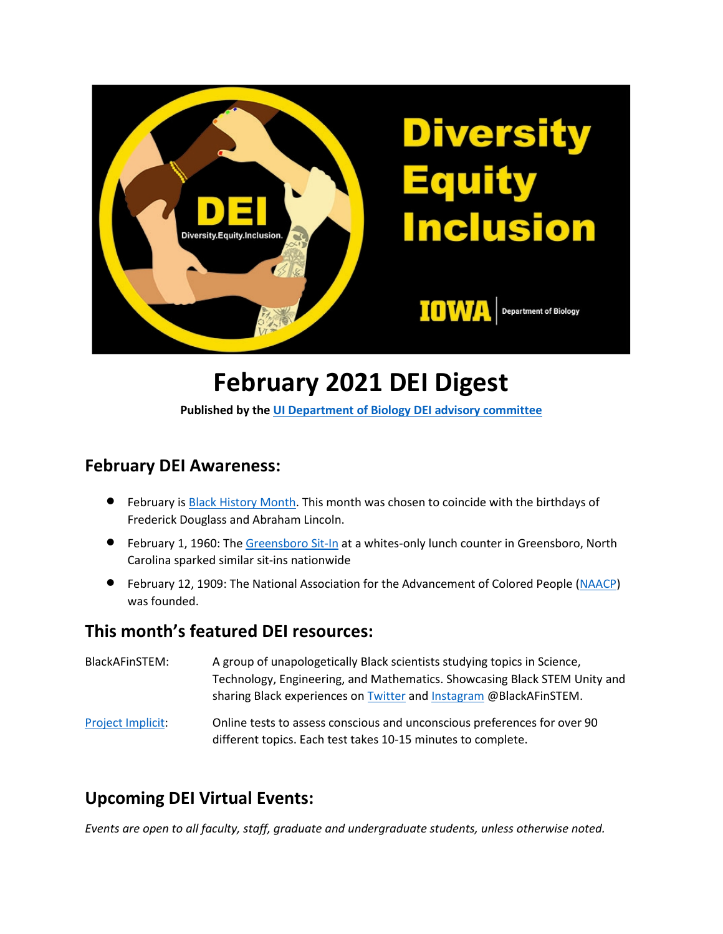

# **February 2021 DEI Digest**

**Published by th[e UI Department of Biology DEI advisory committee](https://biology.uiowa.edu/about/diversity-equity-and-inclusion)**

#### **February DEI Awareness:**

- February is **Black History Month.** This month was chosen to coincide with the birthdays of Frederick Douglass and Abraham Lincoln.
- February 1, 1960: The [Greensboro Sit-In](https://www.history.com/topics/black-history/the-greensboro-sit-in) at a whites-only lunch counter in Greensboro, North Carolina sparked similar sit-ins nationwide
- February 12, 1909: The National Association for the Advancement of Colored People [\(NAACP\)](https://naacp.org/) was founded.

#### **This month's featured DEI resources:**

| BlackAFinSTEM:    | A group of unapologetically Black scientists studying topics in Science,<br>Technology, Engineering, and Mathematics. Showcasing Black STEM Unity and<br>sharing Black experiences on Twitter and Instagram @BlackAFinSTEM. |
|-------------------|-----------------------------------------------------------------------------------------------------------------------------------------------------------------------------------------------------------------------------|
| Project Implicit: | Online tests to assess conscious and unconscious preferences for over 90<br>different topics. Each test takes 10-15 minutes to complete.                                                                                    |

## **Upcoming DEI Virtual Events:**

*Events are open to all faculty, staff, graduate and undergraduate students, unless otherwise noted.*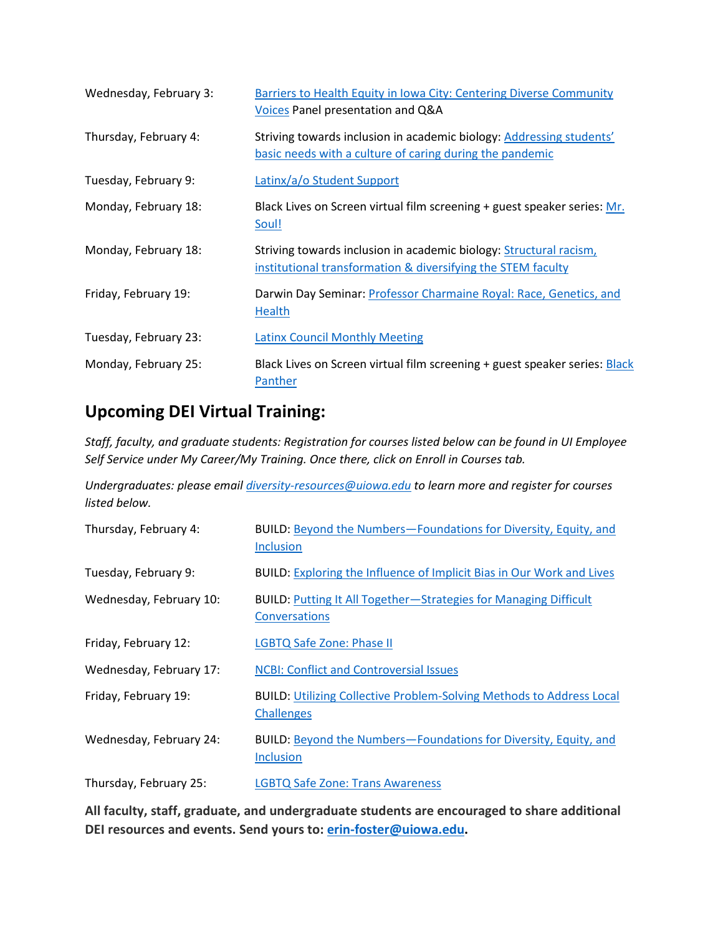| Wednesday, February 3: | <b>Barriers to Health Equity in Iowa City: Centering Diverse Community</b><br>Voices Panel presentation and Q&A                    |
|------------------------|------------------------------------------------------------------------------------------------------------------------------------|
| Thursday, February 4:  | Striving towards inclusion in academic biology: Addressing students'<br>basic needs with a culture of caring during the pandemic   |
| Tuesday, February 9:   | Latinx/a/o Student Support                                                                                                         |
| Monday, February 18:   | Black Lives on Screen virtual film screening + guest speaker series: Mr.<br>Soul!                                                  |
| Monday, February 18:   | Striving towards inclusion in academic biology: Structural racism,<br>institutional transformation & diversifying the STEM faculty |
| Friday, February 19:   | Darwin Day Seminar: Professor Charmaine Royal: Race, Genetics, and<br>Health                                                       |
| Tuesday, February 23:  | <b>Latinx Council Monthly Meeting</b>                                                                                              |
| Monday, February 25:   | Black Lives on Screen virtual film screening + guest speaker series: Black<br>Panther                                              |

### **Upcoming DEI Virtual Training:**

*Staff, faculty, and graduate students: Registration for courses listed below can be found in UI Employee Self Service under My Career/My Training. Once there, click on Enroll in Courses tab.*

*Undergraduates: please email [diversity-resources@uiowa.edu](mailto:diversity-resources@uiowa.edu) to learn more and register for courses listed below.* 

| Thursday, February 4:   | BUILD: Beyond the Numbers-Foundations for Diversity, Equity, and<br>Inclusion                    |
|-------------------------|--------------------------------------------------------------------------------------------------|
| Tuesday, February 9:    | <b>BUILD:</b> Exploring the Influence of Implicit Bias in Our Work and Lives                     |
| Wednesday, February 10: | <b>BUILD: Putting It All Together-Strategies for Managing Difficult</b><br>Conversations         |
| Friday, February 12:    | <b>LGBTQ Safe Zone: Phase II</b>                                                                 |
| Wednesday, February 17: | <b>NCBI: Conflict and Controversial Issues</b>                                                   |
| Friday, February 19:    | <b>BUILD: Utilizing Collective Problem-Solving Methods to Address Local</b><br><b>Challenges</b> |
| Wednesday, February 24: | BUILD: Beyond the Numbers-Foundations for Diversity, Equity, and<br><b>Inclusion</b>             |
| Thursday, February 25:  | <b>LGBTQ Safe Zone: Trans Awareness</b>                                                          |

**All faculty, staff, graduate, and undergraduate students are encouraged to share additional DEI resources and events. Send yours to: [erin-foster@uiowa.edu.](mailto:erin-foster@uiowa.edu)**